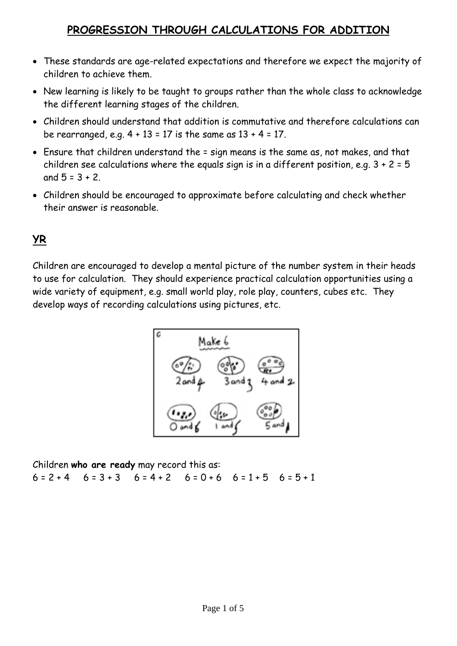#### **PROGRESSION THROUGH CALCULATIONS FOR ADDITION**

- These standards are age-related expectations and therefore we expect the majority of children to achieve them.
- New learning is likely to be taught to groups rather than the whole class to acknowledge the different learning stages of the children.
- Children should understand that addition is commutative and therefore calculations can be rearranged, e.g.  $4 + 13 = 17$  is the same as  $13 + 4 = 17$ .
- Ensure that children understand the = sign means is the same as, not makes, and that children see calculations where the equals sign is in a different position, e.g.  $3 + 2 = 5$ and  $5 = 3 + 2$ .
- Children should be encouraged to approximate before calculating and check whether their answer is reasonable.

### **YR**

Children are encouraged to develop a mental picture of the number system in their heads to use for calculation. They should experience practical calculation opportunities using a wide variety of equipment, e.g. small world play, role play, counters, cubes etc. They develop ways of recording calculations using pictures, etc.



Children **who are ready** may record this as:  $6 = 2 + 4$   $6 = 3 + 3$   $6 = 4 + 2$   $6 = 0 + 6$   $6 = 1 + 5$   $6 = 5 + 1$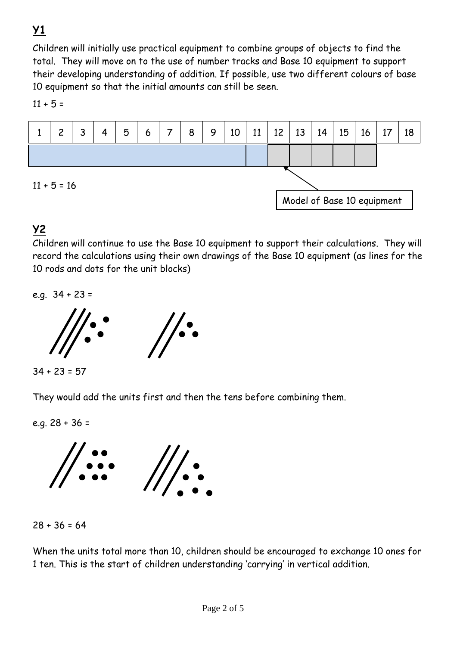# **Y1**

Children will initially use practical equipment to combine groups of objects to find the total. They will move on to the use of number tracks and Base 10 equipment to support their developing understanding of addition. If possible, use two different colours of base 10 equipment so that the initial amounts can still be seen.

 $11 + 5 =$ 



### **Y2**

Children will continue to use the Base 10 equipment to support their calculations. They will record the calculations using their own drawings of the Base 10 equipment (as lines for the 10 rods and dots for the unit blocks)

e.g. 34 + 23 =



 $34 + 23 = 57$ 

They would add the units first and then the tens before combining them.

e.g. 28 + 36 =





When the units total more than 10, children should be encouraged to exchange 10 ones for 1 ten. This is the start of children understanding 'carrying' in vertical addition.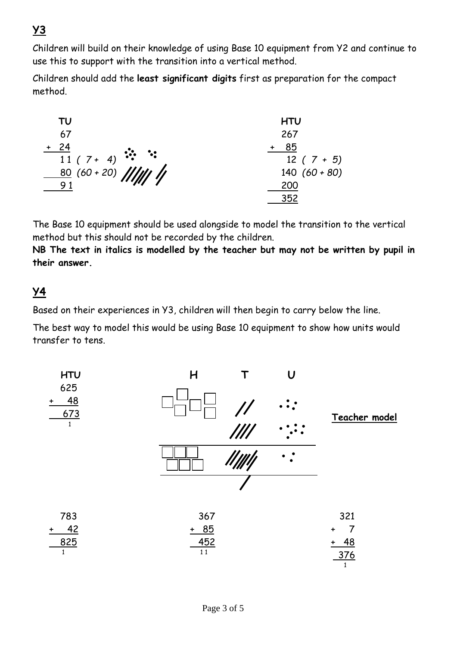## **Y3**

Children will build on their knowledge of using Base 10 equipment from Y2 and continue to use this to support with the transition into a vertical method.

Children should add the **least significant digits** first as preparation for the compact method.

| TU                              | <b>HTU</b>      |
|---------------------------------|-----------------|
| 67                              | 267             |
| $+ 24$                          | 85              |
| $\frac{1}{11}$ (7+ 4) ::        | $12(7+5)$       |
| $\frac{80}{21}(60+20)$ //////// | 140 $(60 + 80)$ |
| 91                              | 200             |
|                                 | 352             |

The Base 10 equipment should be used alongside to model the transition to the vertical method but this should not be recorded by the children.

**NB The text in italics is modelled by the teacher but may not be written by pupil in their answer.**

#### **Y4**

Based on their experiences in Y3, children will then begin to carry below the line.

The best way to model this would be using Base 10 equipment to show how units would transfer to tens.

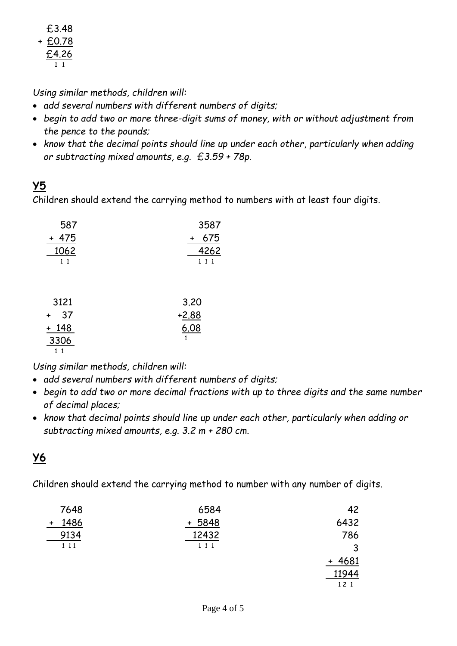£3.48 + £0.78 £4.26 1 1

*Using similar methods, children will:*

- *add several numbers with different numbers of digits;*
- *begin to add two or more three-digit sums of money, with or without adjustment from the pence to the pounds;*
- *know that the decimal points should line up under each other, particularly when adding or subtracting mixed amounts, e.g. £3.59 + 78p*.

### **Y5**

Children should extend the carrying method to numbers with at least four digits.

| 587   | 3587  |
|-------|-------|
| + 475 | + 675 |
| 1062  | 4262  |
| 11    | 1 1 1 |
|       |       |

| 3121            | 3.20    |
|-----------------|---------|
| 37<br>$\ddot{}$ | $+2.88$ |
| $+ 148$         | 6.08    |
| 3306            |         |
|                 |         |

*Using similar methods, children will:*

- *add several numbers with different numbers of digits;*
- *begin to add two or more decimal fractions with up to three digits and the same number of decimal places;*
- *know that decimal points should line up under each other, particularly when adding or subtracting mixed amounts, e.g. 3.2 m + 280 cm.*

## **Y6**

Children should extend the carrying method to number with any number of digits.

| 7648  | 6584              | 42          |
|-------|-------------------|-------------|
| 1486  | 5848<br>$\ddot{}$ | 6432        |
| 9134  | 12432             | 786         |
| 1 1 1 | 1 1 1             | ູ           |
|       |                   | 4681<br>$+$ |
|       |                   | 11944       |
|       |                   | 12 1        |